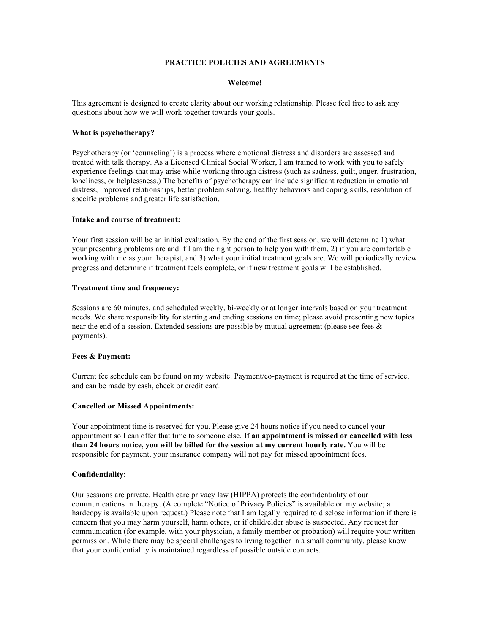# **PRACTICE POLICIES AND AGREEMENTS**

#### **Welcome!**

This agreement is designed to create clarity about our working relationship. Please feel free to ask any questions about how we will work together towards your goals.

## **What is psychotherapy?**

Psychotherapy (or 'counseling') is a process where emotional distress and disorders are assessed and treated with talk therapy. As a Licensed Clinical Social Worker, I am trained to work with you to safely experience feelings that may arise while working through distress (such as sadness, guilt, anger, frustration, loneliness, or helplessness.) The benefits of psychotherapy can include significant reduction in emotional distress, improved relationships, better problem solving, healthy behaviors and coping skills, resolution of specific problems and greater life satisfaction.

# **Intake and course of treatment:**

Your first session will be an initial evaluation. By the end of the first session, we will determine 1) what your presenting problems are and if I am the right person to help you with them, 2) if you are comfortable working with me as your therapist, and 3) what your initial treatment goals are. We will periodically review progress and determine if treatment feels complete, or if new treatment goals will be established.

#### **Treatment time and frequency:**

Sessions are 60 minutes, and scheduled weekly, bi-weekly or at longer intervals based on your treatment needs. We share responsibility for starting and ending sessions on time; please avoid presenting new topics near the end of a session. Extended sessions are possible by mutual agreement (please see fees  $\&$ payments).

# **Fees & Payment:**

Current fee schedule can be found on my website. Payment/co-payment is required at the time of service, and can be made by cash, check or credit card.

### **Cancelled or Missed Appointments:**

Your appointment time is reserved for you. Please give 24 hours notice if you need to cancel your appointment so I can offer that time to someone else. **If an appointment is missed or cancelled with less than 24 hours notice, you will be billed for the session at my current hourly rate.** You will be responsible for payment, your insurance company will not pay for missed appointment fees.

### **Confidentiality:**

Our sessions are private. Health care privacy law (HIPPA) protects the confidentiality of our communications in therapy. (A complete "Notice of Privacy Policies" is available on my website; a hardcopy is available upon request.) Please note that I am legally required to disclose information if there is concern that you may harm yourself, harm others, or if child/elder abuse is suspected. Any request for communication (for example, with your physician, a family member or probation) will require your written permission. While there may be special challenges to living together in a small community, please know that your confidentiality is maintained regardless of possible outside contacts.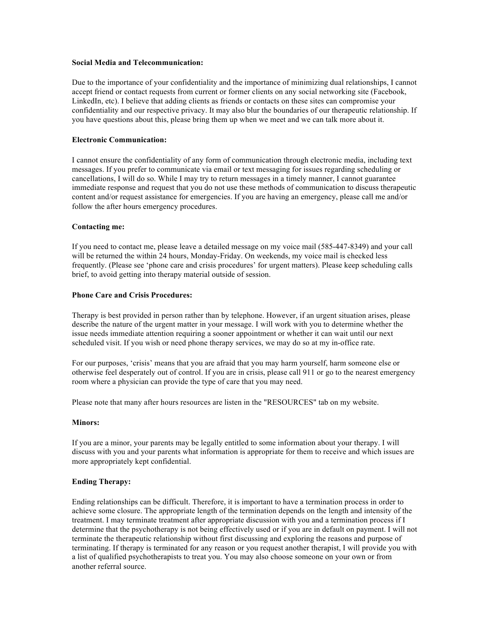# **Social Media and Telecommunication:**

Due to the importance of your confidentiality and the importance of minimizing dual relationships, I cannot accept friend or contact requests from current or former clients on any social networking site (Facebook, LinkedIn, etc). I believe that adding clients as friends or contacts on these sites can compromise your confidentiality and our respective privacy. It may also blur the boundaries of our therapeutic relationship. If you have questions about this, please bring them up when we meet and we can talk more about it.

## **Electronic Communication:**

I cannot ensure the confidentiality of any form of communication through electronic media, including text messages. If you prefer to communicate via email or text messaging for issues regarding scheduling or cancellations, I will do so. While I may try to return messages in a timely manner, I cannot guarantee immediate response and request that you do not use these methods of communication to discuss therapeutic content and/or request assistance for emergencies. If you are having an emergency, please call me and/or follow the after hours emergency procedures.

#### **Contacting me:**

If you need to contact me, please leave a detailed message on my voice mail (585-447-8349) and your call will be returned the within 24 hours, Monday-Friday. On weekends, my voice mail is checked less frequently. (Please see 'phone care and crisis procedures' for urgent matters). Please keep scheduling calls brief, to avoid getting into therapy material outside of session.

## **Phone Care and Crisis Procedures:**

Therapy is best provided in person rather than by telephone. However, if an urgent situation arises, please describe the nature of the urgent matter in your message. I will work with you to determine whether the issue needs immediate attention requiring a sooner appointment or whether it can wait until our next scheduled visit. If you wish or need phone therapy services, we may do so at my in-office rate.

For our purposes, 'crisis' means that you are afraid that you may harm yourself, harm someone else or otherwise feel desperately out of control. If you are in crisis, please call 911 or go to the nearest emergency room where a physician can provide the type of care that you may need.

Please note that many after hours resources are listen in the "RESOURCES" tab on my website.

## **Minors:**

If you are a minor, your parents may be legally entitled to some information about your therapy. I will discuss with you and your parents what information is appropriate for them to receive and which issues are more appropriately kept confidential.

### **Ending Therapy:**

Ending relationships can be difficult. Therefore, it is important to have a termination process in order to achieve some closure. The appropriate length of the termination depends on the length and intensity of the treatment. I may terminate treatment after appropriate discussion with you and a termination process if I determine that the psychotherapy is not being effectively used or if you are in default on payment. I will not terminate the therapeutic relationship without first discussing and exploring the reasons and purpose of terminating. If therapy is terminated for any reason or you request another therapist, I will provide you with a list of qualified psychotherapists to treat you. You may also choose someone on your own or from another referral source.